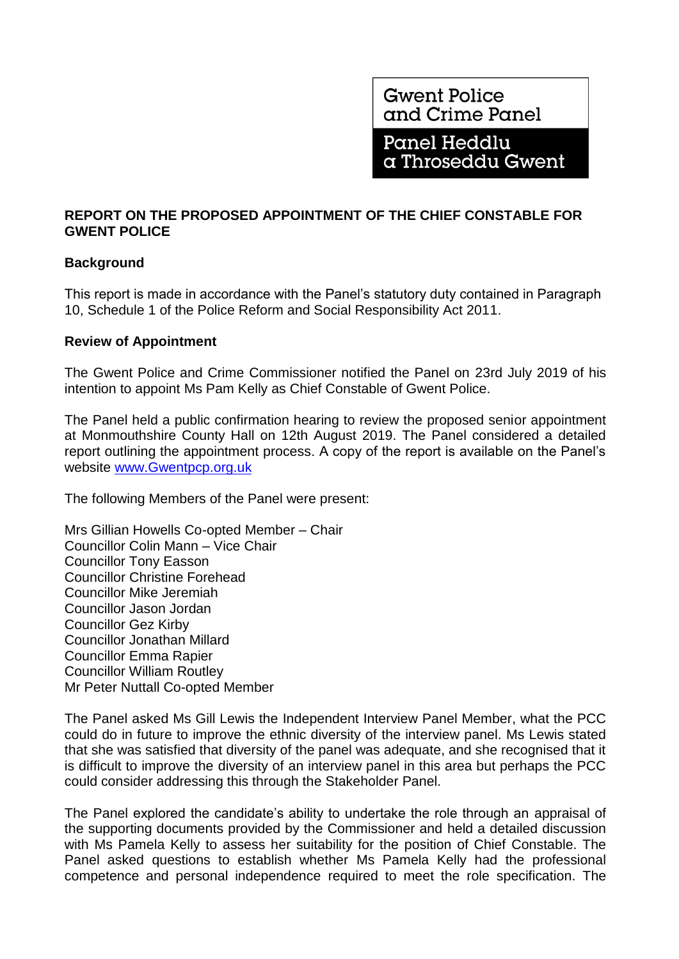**Gwent Police** and Crime Panel

Panel Heddlu a Throseddu Gwent

# **REPORT ON THE PROPOSED APPOINTMENT OF THE CHIEF CONSTABLE FOR GWENT POLICE**

# **Background**

This report is made in accordance with the Panel's statutory duty contained in Paragraph 10, Schedule 1 of the Police Reform and Social Responsibility Act 2011.

### **Review of Appointment**

The Gwent Police and Crime Commissioner notified the Panel on 23rd July 2019 of his intention to appoint Ms Pam Kelly as Chief Constable of Gwent Police.

The Panel held a public confirmation hearing to review the proposed senior appointment at Monmouthshire County Hall on 12th August 2019. The Panel considered a detailed report outlining the appointment process. A copy of the report is available on the Panel's website [www.Gwentpcp.org.uk](http://www.gwentpcp.org.uk/)

The following Members of the Panel were present:

Mrs Gillian Howells Co-opted Member – Chair Councillor Colin Mann – Vice Chair Councillor Tony Easson Councillor Christine Forehead Councillor Mike Jeremiah Councillor Jason Jordan Councillor Gez Kirby Councillor Jonathan Millard Councillor Emma Rapier Councillor William Routley Mr Peter Nuttall Co-opted Member

The Panel asked Ms Gill Lewis the Independent Interview Panel Member, what the PCC could do in future to improve the ethnic diversity of the interview panel. Ms Lewis stated that she was satisfied that diversity of the panel was adequate, and she recognised that it is difficult to improve the diversity of an interview panel in this area but perhaps the PCC could consider addressing this through the Stakeholder Panel.

The Panel explored the candidate's ability to undertake the role through an appraisal of the supporting documents provided by the Commissioner and held a detailed discussion with Ms Pamela Kelly to assess her suitability for the position of Chief Constable. The Panel asked questions to establish whether Ms Pamela Kelly had the professional competence and personal independence required to meet the role specification. The